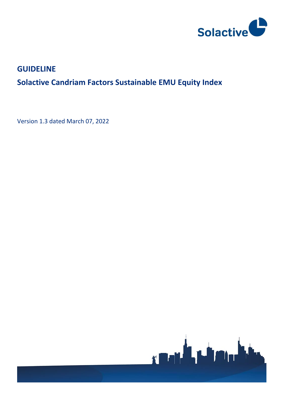

# **GUIDELINE**

# **Solactive Candriam Factors Sustainable EMU Equity Index**

Version 1.3 dated March 07, 2022

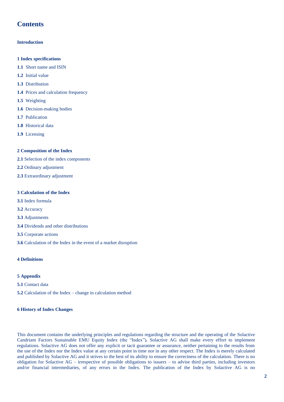### **Contents**

#### **Introduction**

- **1 Index specifications**
- **1.1** Short name and ISIN
- **1.2** Initial value
- **1.3** Distribution
- **1.4** Prices and calculation frequency
- **1.5** Weighting
- **1.6** Decision-making bodies
- **1.7** Publication
- **1.8** Historical data
- **1.9** Licensing

#### **2 Composition of the Index**

- **2.1** Selection of the index components
- **2.2** Ordinary adjustment
- **2.3** Extraordinary adjustment

#### **3 Calculation of the Index**

- **3.1** Index formula
- **3.2** Accuracy
- **3.3** Adjustments
- **3.4** Dividends and other distributions
- **3.5** Corporate actions
- **3.6** Calculation of the Index in the event of a market disruption

#### **4 Definitions**

#### **5 Appendix**

- **5.1** Contact data
- **5.2** Calculation of the Index change in calculation method

#### **6 History of Index Changes**

This document contains the underlying principles and regulations regarding the structure and the operating of the Solactive Candriam Factors Sustainable EMU Equity Index (the "Index")*.* Solactive AG shall make every effort to implement regulations. Solactive AG does not offer any explicit or tacit guarantee or assurance, neither pertaining to the results from the use of the Index nor the Index value at any certain point in time nor in any other respect. The Index is merely calculated and published by Solactive AG and it strives to the best of its ability to ensure the correctness of the calculation. There is no obligation for Solactive AG – irrespective of possible obligations to issuers – to advise third parties, including investors and/or financial intermediaries, of any errors in the Index. The publication of the Index by Solactive AG is no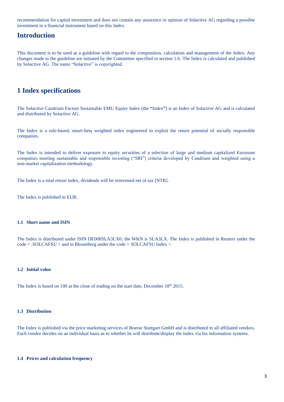recommendation for capital investment and does not contain any assurance or opinion of Solactive AG regarding a possible investment in a financial instrument based on this Index.

### **Introduction**

This document is to be used as a guideline with regard to the composition, calculation and management of the Index**.** Any changes made to the guideline are initiated by the Committee specified in section 1.6. The Index is calculated and published by Solactive AG. The name "Solactive" is copyrighted.

### **1 Index specifications**

The Solactive Candriam Factors Sustainable EMU Equity Index (the **"**Index**"**) is an Index of Solactive AG and is calculated and distributed by Solactive AG.

The Index is a rule-based, smart-beta weighted index engineered to exploit the return potential of socially responsible companies.

The Index is intended to deliver exposure to equity securities of a selection of large and medium capitalized Eurozone companies meeting sustainable and responsible investing ("SRI") criteria developed by Candriam and weighted using a non-market capitalization methodology.

The Index is a total return index, dividends will be reinvested net of tax [NTR].

The Index is published in EUR.

#### **1.1 Short name and ISIN**

The Index is distributed under ISIN DE000SLA3LX6; the WKN is SLA3LX. The Index is published in Reuters under the code < .SOLCAFSU > and in Bloomberg under the code < SOLCAFSU Index >.

#### **1.2 Initial value**

The Index is based on 100 at the close of trading on the start date, December 18<sup>th</sup> 2015.

#### **1.3 Distribution**

The Index is published via the price marketing services of Boerse Stuttgart GmbH and is distributed to all affiliated vendors. Each vendor decides on an individual basis as to whether he will distribute/display the Index via his information systems.

#### **1.4 Prices and calculation frequency**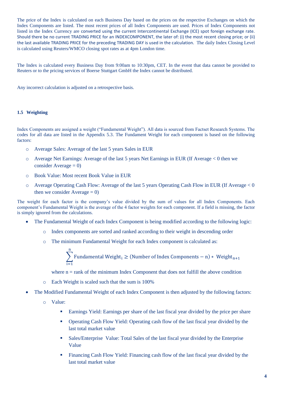The price of the Index is calculated on each Business Day based on the prices on the respective Exchanges on which the Index Components are listed. The most recent prices of all Index Components are used. Prices of Index Components not listed in the Index Currency are converted using the current Intercontinental Exchange (ICE) spot foreign exchange rate. Should there be no current TRADING PRICE for an INDEXCOMPONENT, the later of: (i) the most recent closing price; or (ii) the last available TRADING PRICE for the preceding TRADING DAY is used in the calculation. The daily Index Closing Level is calculated using Reuters/WMCO closing spot rates as at 4pm London time.

The Index is calculated every Business Day from 9:00am to 10:30pm, CET. In the event that data cannot be provided to Reuters or to the pricing services of Boerse Stuttgart GmbH the Index cannot be distributed.

Any incorrect calculation is adjusted on a retrospective basis.

#### **1.5 Weighting**

Index Components are assigned a weight ("Fundamental Weight"). All data is sourced from Factset Research Systems. The codes for all data are listed in the Appendix 5.3. The Fundament Weight for each component is based on the following factors:

- o Average Sales: Average of the last 5 years Sales in EUR
- o Average Net Earnings: Average of the last 5 years Net Earnings in EUR (If Average < 0 then we consider Average  $= 0$ )
- o Book Value: Most recent Book Value in EUR
- o Average Operating Cash Flow: Average of the last 5 years Operating Cash Flow in EUR (If Average < 0 then we consider  $Average = 0)$

The weight for each factor is the company's value divided by the sum of values for all Index Components. Each component's Fundamental Weight is the average of the 4 factor weights for each component. If a field is missing, the factor is simply ignored from the calculations.

- The Fundamental Weight of each Index Component is being modified according to the following logic:
	- o Index components are sorted and ranked according to their weight in descending order
	- o The minimum Fundamental Weight for each Index component is calculated as:

$$
\sum_{i=1}^n \text{Fundamental Weight}_i \geq (\text{Number of Index Components} - n) * \text{Weight}_{n+1}
$$

where  $n = rank of the minimum Index Component that does not fulfill the above condition$ 

- o Each Weight is scaled such that the sum is 100%
- The Modified Fundamental Weight of each Index Component is then adjusted by the following factors:
	- o Value:
		- **Earnings Yield: Earnings per share of the last fiscal year divided by the price per share**
		- **•** Operating Cash Flow Yield: Operating cash flow of the last fiscal year divided by the last total market value
		- **•** Sales/Enterprise Value: Total Sales of the last fiscal year divided by the Enterprise Value
		- Financing Cash Flow Yield: Financing cash flow of the last fiscal year divided by the last total market value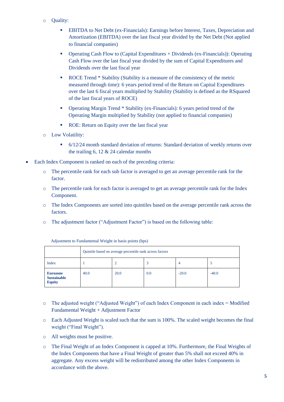- o Quality:
	- **EBITDA** to Net Debt (ex-Financials): Earnings before Interest, Taxes, Depreciation and Amortization (EBITDA) over the last fiscal year divided by the Net Debt (Not applied to financial companies)
	- Operating Cash Flow to (Capital Expenditures + Dividends (ex-Financials)): Operating Cash Flow over the last fiscal year divided by the sum of Capital Expenditures and Dividends over the last fiscal year
	- ROCE Trend \* Stability (Stability is a measure of the consistency of the metric measured through time): 6 years period trend of the Return on Capital Expenditures over the last 6 fiscal years multiplied by Stability (Stability is defined as the RSquared of the last fiscal years of ROCE)
	- Operating Margin Trend \* Stability (ex-Financials): 6 years period trend of the Operating Margin multiplied by Stability (not applied to financial companies)
	- ROE: Return on Equity over the last fiscal year
- o Low Volatility:
	- 6/12/24 month standard deviation of returns: Standard deviation of weekly returns over the trailing 6, 12 & 24 calendar months
- Each Index Component is ranked on each of the preceding criteria:
	- o The percentile rank for each sub factor is averaged to get an average percentile rank for the factor.
	- o The percentile rank for each factor is averaged to get an average percentile rank for the Index Component.
	- o The Index Components are sorted into quintiles based on the average percentile rank across the factors.
	- o The adjustment factor ("Adjustment Factor") is based on the following table:

|                                                        | Quintile based on average percentile rank across factors |      |     |         |         |
|--------------------------------------------------------|----------------------------------------------------------|------|-----|---------|---------|
| <b>Index</b>                                           |                                                          |      |     |         |         |
| <b>Eurozone</b><br><b>Sustainable</b><br><b>Equity</b> | 40.0                                                     | 20.0 | 0.0 | $-20.0$ | $-40.0$ |

Adjustment to Fundamental Weight in basis points (bps)

- o The adjusted weight ("Adjusted Weight") of each Index Component in each index = Modified Fundamental Weight + Adjustment Factor
- o Each Adjusted Weight is scaled such that the sum is 100%. The scaled weight becomes the final weight ("Final Weight").
- o All weights must be positive.
- o The Final Weight of an Index Component is capped at 10%. Furthermore, the Final Weights of the Index Components that have a Final Weight of greater than 5% shall not exceed 40% in aggregate. Any excess weight will be redistributed among the other Index Components in accordance with the above.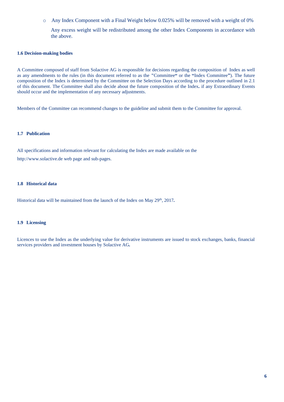o Any Index Component with a Final Weight below 0.025% will be removed with a weight of 0%

Any excess weight will be redistributed among the other Index Components in accordance with the above.

#### **1.6 Decision-making bodies**

A Committee composed of staff from Solactive AG is responsible for decisions regarding the composition of Index as well as any amendments to the rules (in this document referred to as the **"**Committee**"** or the **"**Index Committee**"**). The future composition of the Index is determined by the Committee on the Selection Days according to the procedure outlined in 2.1 of this document. The Committee shall also decide about the future composition of the Index*.* if any Extraordinary Events should occur and the implementation of any necessary adjustments.

Members of the Committee can recommend changes to the guideline and submit them to the Committee for approval.

#### **1.7 Publication**

All specifications and information relevant for calculating the Index are made available on the http://www.solactive.de web page and sub-pages.

#### **1.8 Historical data**

Historical data will be maintained from the launch of the Index on May 29<sup>th</sup>, 2017.

#### **1.9 Licensing**

Licences to use the Index as the underlying value for derivative instruments are issued to stock exchanges, banks, financial services providers and investment houses by Solactive AG*.*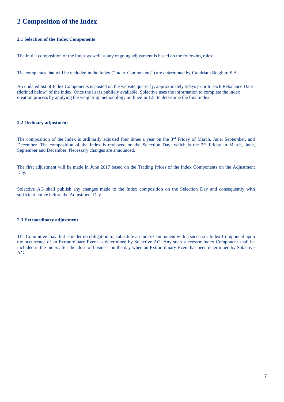### **2 Composition of the Index**

#### **2.1 Selection of the Index Components**

The initial composition of the Index as well as any ongoing adjustment is based on the following rules:

The companies that will be included in the Index ("Index Components") are determined by Candriam Belgium S.A.

An updated list of Index Components is posted on the website quarterly, approximately 5days prior to each Rebalance Date (defined below) of the index. Once the list is publicly available, Solactive uses the information to complete the index creation process by applying the weighting methodology outlined in 1.5. to determine the final index.

#### **2.2 Ordinary adjustment**

The composition of the Index is ordinarily adjusted four times a year on the  $3<sup>rd</sup>$  Friday of March, June, September, and December. The composition of the Index is reviewed on the Selection Day, which is the 2<sup>nd</sup> Friday in March, June, September and December. Necessary changes are announced.

The first adjustment will be made in June 2017 based on the Trading Prices of the Index Components on the Adjustment Day.

Solactive AG shall publish any changes made to the Index composition on the Selection Day and consequently with sufficient notice before the Adjustment Day.

#### **2.3 Extraordinary adjustment**

The Committee may, but is under no obligation to, substitute an Index Component with a successor Index Component upon the occurrence of an Extraordinary Event as determined by Solactive AG. Any such successor Index Component shall be included in the Index after the close of business on the day when an Extraordinary Event has been determined by Solactive AG.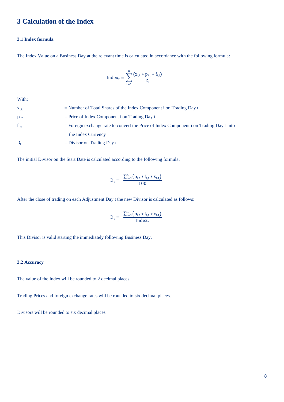### **3 Calculation of the Index**

#### **3.1 Index formula**

The Index Value on a Business Day at the relevant time is calculated in accordance with the following formula:

$$
Index_t = \sum_{i=1}^{n} \frac{(x_{i,t} * p_{i,t} * f_{i,t})}{D_t}
$$

With:

| $X_{i,t}$ | $=$ Number of Total Shares of the Index Component i on Trading Day t                      |
|-----------|-------------------------------------------------------------------------------------------|
| $p_{i,t}$ | $=$ Price of Index Component i on Trading Day t                                           |
| $f_{i,t}$ | $=$ Foreign exchange rate to convert the Price of Index Component i on Trading Day t into |
|           | the Index Currency                                                                        |
| $D_{t}$   | $=$ Divisor on Trading Day t                                                              |

The initial Divisor on the Start Date is calculated according to the following formula:

$$
D_t = \frac{\sum_{i=1}^{n} (p_{i,t} * f_{i,t} * x_{i,t})}{100}
$$

After the close of trading on each Adjustment Day t the new Divisor is calculated as follows:

$$
D_t = \frac{\sum_{i=1}^{n} (p_{i,t} * f_{i,t} * x_{i,t})}{Index_t}
$$

This Divisor is valid starting the immediately following Business Day.

#### **3.2 Accuracy**

The value of the Index will be rounded to 2 decimal places.

Trading Prices and foreign exchange rates will be rounded to six decimal places.

Divisors will be rounded to six decimal places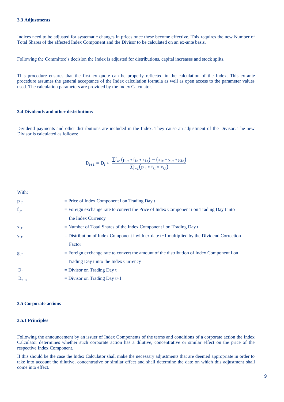Indices need to be adjusted for systematic changes in prices once these become effective. This requires the new Number of Total Shares of the affected Index Component and the Divisor to be calculated on an ex-ante basis.

Following the Committee's decision the Index is adjusted for distributions, capital increases and stock splits.

This procedure ensures that the first ex quote can be properly reflected in the calculation of the Index. This ex-ante procedure assumes the general acceptance of the Index calculation formula as well as open access to the parameter values used. The calculation parameters are provided by the Index Calculator.

#### **3.4 Dividends and other distributions**

Dividend payments and other distributions are included in the Index. They cause an adjustment of the Divisor. The new Divisor is calculated as follows:

$$
D_{t+1} = D_t * ~ \frac{\Sigma_{i=1}^n \big(p_{i,t}*f_{i,t}*x_{i,t}\big) - \big(x_{i,t}*y_{i,t}*g_{i,t}\big)}{\Sigma_{i=1}^n \big(p_{i,t}*f_{i,t}*x_{i,t}\big)}
$$

With:

| $p_{i,t}$ | $=$ Price of Index Component i on Trading Day t                                              |
|-----------|----------------------------------------------------------------------------------------------|
| $f_{i,t}$ | $=$ Foreign exchange rate to convert the Price of Index Component i on Trading Day t into    |
|           | the Index Currency                                                                           |
| $X_{i,t}$ | $=$ Number of Total Shares of the Index Component i on Trading Day t                         |
| $y_{i,t}$ | $=$ Distribution of Index Component i with ex date t+1 multiplied by the Dividend Correction |
|           | Factor                                                                                       |
| $g_{i,t}$ | $=$ Foreign exchange rate to convert the amount of the distribution of Index Component i on  |
|           | Trading Day t into the Index Currency                                                        |
| $D_t$     | $=$ Divisor on Trading Day t                                                                 |
| $D_{t+1}$ | $=$ Divisor on Trading Day $t+1$                                                             |
|           |                                                                                              |

#### **3.5 Corporate actions**

#### **3.5.1 Principles**

Following the announcement by an issuer of Index Components of the terms and conditions of a corporate action the Index Calculator determines whether such corporate action has a dilutive, concentrative or similar effect on the price of the respective Index Component.

If this should be the case the Index Calculator shall make the necessary adjustments that are deemed appropriate in order to take into account the dilutive, concentrative or similar effect and shall determine the date on which this adjustment shall come into effect.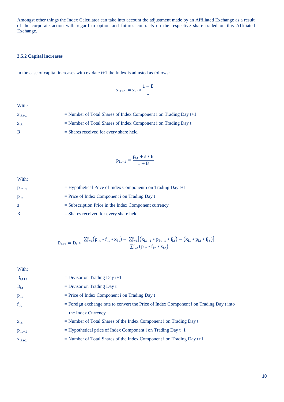Amongst other things the Index Calculator can take into account the adjustment made by an Affiliated Exchange as a result of the corporate action with regard to option and futures contracts on the respective share traded on this Affiliated Exchange.

#### **3.5.2 Capital increases**

In the case of capital increases with ex date t+1 the Index is adjusted as follows:

$$
x_{i,t+1} = x_{i,t} * \frac{1+B}{1}
$$

With:

 $x_{i,t+1}$  = Number of Total Shares of Index Component i on Trading Day t+1  $x_{i,t}$  = Number of Total Shares of Index Component i on Trading Day t B = Shares received for every share held

$$
p_{i,t+1}=\frac{p_{i,t}+s*B}{1+B}
$$

With:

| $p_{i,t+1}$ | $=$ Hypothetical Price of Index Component i on Trading Day t+1 |
|-------------|----------------------------------------------------------------|
| $p_{i,t}$   | $=$ Price of Index Component i on Trading Day t                |
| -S          | $=$ Subscription Price in the Index Component currency         |
| B           | $=$ Shares received for every share held                       |

$$
D_{t+1} = D_t * \frac{\Sigma_{i=1}^{n}\big(p_{i,t}*f_{i,t}*x_{i,t}\big)+\Sigma_{i=1}^{n}\big[\big(x_{i,t+1}*p_{i,t+1}*f_{i,t}\big)-\big(x_{i,t}*p_{i,t}*f_{i,t}\big)\big]}{\Sigma_{i=1}^{n}\big(p_{i,t}*f_{i,t}*x_{i,t}\big)}
$$

With:  $D_{i,t+1}$  = Divisor on Trading Day t+1  $D_{i,t}$  = Divisor on Trading Day t  $p_{i,t}$  = Price of Index Component i on Trading Day t  $f_{i,t}$  = Foreign exchange rate to convert the Price of Index Component i on Trading Day t into the Index Currency  $x_{i,t}$  = Number of Total Shares of the Index Component i on Trading Day t  $p_{i,t+1}$  = Hypothetical price of Index Component i on Trading Day t+1  $x_{i,t+1}$  = Number of Total Shares of the Index Component i on Trading Day t+1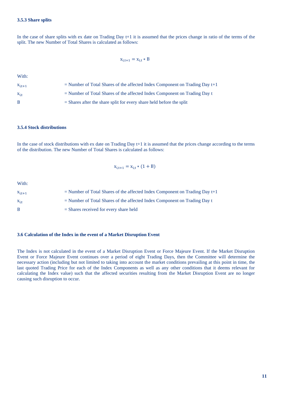In the case of share splits with ex date on Trading Day t+1 it is assumed that the prices change in ratio of the terms of the split. The new Number of Total Shares is calculated as follows:

$$
x_{i,t+1} = x_{i,t} * B
$$

With:

| $X_{i,t+1}$ | $=$ Number of Total Shares of the affected Index Component on Trading Day t+1 |
|-------------|-------------------------------------------------------------------------------|
| $X_{i,t}$   | $=$ Number of Total Shares of the affected Index Component on Trading Day t   |
| B.          | $=$ Shares after the share split for every share held before the split        |

#### **3.5.4 Stock distributions**

In the case of stock distributions with ex date on Trading Day t+1 it is assumed that the prices change according to the terms of the distribution. The new Number of Total Shares is calculated as follows:

$$
x_{i,t+1} = x_{i,t} * (1 + B)
$$

With:

| $X_{i,t+1}$  | $=$ Number of Total Shares of the affected Index Component on Trading Day $t+1$ |
|--------------|---------------------------------------------------------------------------------|
| $X_{i,t}$    | $=$ Number of Total Shares of the affected Index Component on Trading Day t     |
| <sup>B</sup> | $=$ Shares received for every share held                                        |

#### **3.6 Calculation of the Index in the event of a Market Disruption Event**

The Index is not calculated in the event of a Market Disruption Event or Force Majeure Event. If the Market Disruption Event or Force Majeure Event continues over a period of eight Trading Days, then the Committee will determine the necessary action (including but not limited to taking into account the market conditions prevailing at this point in time, the last quoted Trading Price for each of the Index Components as well as any other conditions that it deems relevant for calculating the Index value) such that the affected securities resulting from the Market Disruption Event are no longer causing such disruption to occur.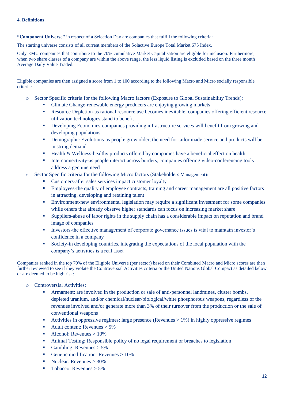**"Component Universe"** in respect of a Selection Day are companies that fulfill the following criteria:

The starting universe consists of all current members of the Solactive Europe Total Market 675 Index.

Only EMU companies that contribute to the 70% cumulative Market Capitalization are eligible for inclusion. Furthermore, when two share classes of a company are within the above range, the less liquid listing is excluded based on the three month Average Daily Value Traded.

Eligible companies are then assigned a score from 1 to 100 according to the following Macro and Micro socially responsible criteria:

- o Sector Specific criteria for the following Macro factors (Exposure to Global Sustainability Trends):
	- Climate Change-renewable energy producers are enjoying growing markets
	- **•** Resource Depletion-as rational resource use becomes inevitable, companies offering efficient resource utilization technologies stand to benefit
	- **•** Developing Economies-companies providing infrastructure services will benefit from growing and developing populations
	- **•** Demographic Evolutions-as people grow older, the need for tailor made service and products will be in string demand
	- Health & Wellness-healthy products offered by companies have a beneficial effect on health
	- Interconnectivity-as people interact across borders, companies offering video-conferencing tools address a genuine need
- Sector Specific criteria for the following Micro factors (Stakeholders Management):
	- Customers-after sales services impact customer loyalty
	- **•** Employees-the quality of employee contracts, training and career management are all positive factors in attracting, developing and retaining talent
	- Environment-new environmental legislation may require a significant investment for some companies while others that already observe higher standards can focus on increasing market share
	- Suppliers-abuse of labor rights in the supply chain has a considerable impact on reputation and brand image of companies
	- **EXECUTE:** Investors-the effective management of corporate governance issues is vital to maintain investor's confidence in a company
	- Society-in developing countries, integrating the expectations of the local population with the company's activities is a real asset

Companies ranked in the top 70% of the Eligible Universe (per sector) based on their Combined Macro and Micro scores are then further reviewed to see if they violate the Controversial Activities criteria or the United Nations Global Compact as detailed below or are deemed to be high risk:

- o Controversial Activities:
	- Armament: are involved in the production or sale of anti-personnel landmines, cluster bombs, depleted uranium, and/or chemical/nuclear/biological/white phosphorous weapons, regardless of the revenues involved and/or generate more than 3% of their turnover from the production or the sale of conventional weapons
	- Activities in oppressive regimes: large presence (Revenues > 1%) in highly oppressive regimes
	- $\blacksquare$  Adult content: Revenues  $> 5\%$
	- $\blacksquare$  Alcohol: Revenues > 10%
	- **•** Animal Testing: Responsible policy of no legal requirement or breaches to legislation
	- **•** Gambling: Revenues  $> 5\%$
	- **•** Genetic modification: Revenues  $> 10\%$
	- $\blacksquare$  Nuclear: Revenues > 30%
	- $\blacksquare$  Tobacco: Revenues > 5%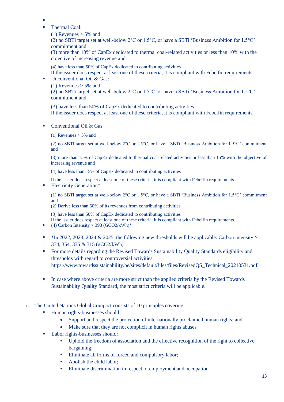- ▪
- Thermal Coal:
	- (1) Revenues  $> 5\%$  and

(2) no SBTi target set at well-below  $2^{\circ}C$  or 1.5°C, or have a SBTi 'Business Ambition for 1.5°C' commitment and

(3) more than 10% of CapEx dedicated to thermal coal-related activities or less than 10% with the objective of increasing revenue and

(4) have less than 50% of CapEx dedicated to contributing activities

If the issuer does respect at least one of these criteria, it is compliant with Febelfin requirements.

- Unconventional Oil & Gas:
	- (1) Revenues  $> 5\%$  and

(2) no SBTi target set at well-below 2°C or 1.5°C, or have a SBTi 'Business Ambition for 1.5°C' commitment and

(3) have less than 50% of CapEx dedicated to contributing activities If the issuer does respect at least one of these criteria, it is compliant with Febelfin requirements.

■ Conventional Oil & Gas:

(1) Revenues  $> 5\%$  and

(2) no SBTi target set at well-below 2°C or 1.5°C, or have a SBTi 'Business Ambition for 1.5°C' commitment and

(3) more than 15% of CapEx dedicated to thermal coal-related activities or less than 15% with the objective of increasing revenue and

(4) have less than 15% of CapEx dedicated to contributing activities

If the issuer does respect at least one of these criteria, it is compliant with Febelfin requirements ■ Electricity Generation<sup>\*</sup>:

(1) no SBTi target set at well-below 2°C or 1.5°C, or have a SBTi 'Business Ambition for 1.5°C' commitment and

(2) Derive less than 50% of its revenues from contributing activities

(3) have less than 50% of CapEx dedicated to contributing activities

If the issuer does respect at least one of these criteria, it is compliant with Febelfin requirements.

- $(4)$  Carbon Intensity > 393 (GCO2/kWh)\*
- $\bullet$  \*In 2022, 2023, 2024 & 2025, the following new thresholds will be applicable: Carbon intensity > 374, 354, 335 & 315 (gCO2/kWh)
- For more details regarding the Revised Towards Sustainability Quality Standards eligibility and thresholds with regard to controversial activities: https://www.towardssustainability.be/sites/default/files/files/RevisedQS\_Technical\_20210531.pdf
- **IF** In case where above criteria are more strict than the applied criteria by the Revised Towards Sustainability Quality Standard, the most strict criteria will be applicable.
- o The United Nations Global Compact consists of 10 principles covering:
	- Human rights-businesses should:
		- Support and respect the protection of internationally proclaimed human rights; and
		- Make sure that they are not complicit in human rights abuses
	- Labor rights-businesses should:
		- Uphold the freedom of association and the effective recognition of the right to collective bargaining;
		- Eliminate all forms of forced and compulsory labor;
		- Abolish the child labor;
		- Eliminate discrimination in respect of employment and occupation.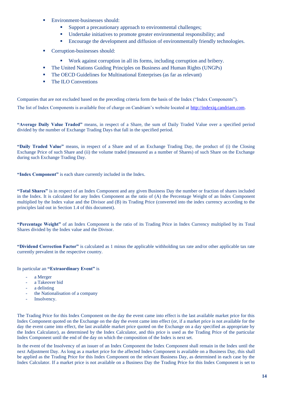- Environment-businesses should:
	- Support a precautionary approach to environmental challenges;
	- Undertake initiatives to promote greater environmental responsibility; and
	- **Encourage the development and diffusion of environmentally friendly technologies.**
- Corruption-businesses should:
	- Work against corruption in all its forms, including corruption and bribery.
- **•** The United Nations Guiding Principles on Business and Human Rights (UNGPs)
- The OECD Guidelines for Multinational Enterprises (as far as relevant)
- The ILO Conventions

Companies that are not excluded based on the preceding criteria form the basis of the Index ("Index Components"). The list of Index Components is available free of charge on Candriam's website located at [http://indexiq.candriam.com.](http://indexiq.candriam.com/)

**"Average Daily Value Traded"** means, in respect of a Share, the sum of Daily Traded Value over a specified period divided by the number of Exchange Trading Days that fall in the specified period.

**"Daily Traded Value"** means, in respect of a Share and of an Exchange Trading Day, the product of (i) the Closing Exchange Price of such Share and (ii) the volume traded (measured as a number of Shares) of such Share on the Exchange during such Exchange Trading Day.

**"Index Component"** is each share currently included in the Index.

**"Total Shares"** is in respect of an Index Component and any given Business Day the number or fraction of shares included in the Index. It is calculated for any Index Component as the ratio of (A) the Percentage Weight of an Index Component multiplied by the Index value and the Divisor and (B) its Trading Price (converted into the index currency according to the principles laid out in Section 1.4 of this document).

**"Percentage Weight"** of an Index Component is the ratio of its Trading Price in Index Currency multiplied by its Total Shares divided by the Index value and the Divisor.

**"Dividend Correction Factor"** is calculated as 1 minus the applicable withholding tax rate and/or other applicable tax rate currently prevalent in the respective country.

In particular an **"Extraordinary Event"** is

- a Merger
- a Takeover bid
- a delisting
- the Nationalisation of a company
- Insolvency.

The Trading Price for this Index Component on the day the event came into effect is the last available market price for this Index Component quoted on the Exchange on the day the event came into effect (or, if a market price is not available for the day the event came into effect, the last available market price quoted on the Exchange on a day specified as appropriate by the Index Calculator), as determined by the Index Calculator, and this price is used as the Trading Price of the particular Index Component until the end of the day on which the composition of the Index is next set.

In the event of the Insolvency of an issuer of an Index Component the Index Component shall remain in the Index until the next Adjustment Day. As long as a market price for the affected Index Component is available on a Business Day, this shall be applied as the Trading Price for this Index Component on the relevant Business Day, as determined in each case by the Index Calculator. If a market price is not available on a Business Day the Trading Price for this Index Component is set to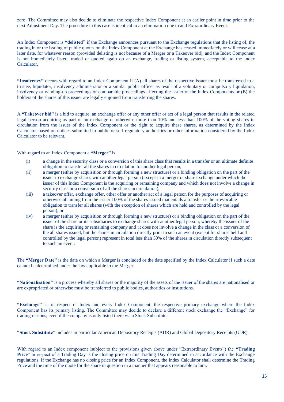zero. The Committee may also decide to eliminate the respective Index Component at an earlier point in time prior to the next Adjustment Day. The procedure in this case is identical to an elimination due to and Extraordinary Event.

An Index Component is **"delisted"** if the Exchange announces pursuant to the Exchange regulations that the listing of, the trading in or the issuing of public quotes on the Index Component at the Exchange has ceased immediately or will cease at a later date, for whatever reason (provided delisting is not because of a Merger or a Takeover bid), and the Index Component is not immediately listed, traded or quoted again on an exchange, trading or listing system, acceptable to the Index Calculator,

**"Insolvency"** occurs with regard to an Index Component if (A) all shares of the respective issuer must be transferred to a trustee, liquidator, insolvency administrator or a similar public officer as result of a voluntary or compulsory liquidation, insolvency or winding-up proceedings or comparable proceedings affecting the issuer of the Index Components or (B) the holders of the shares of this issuer are legally enjoined from transferring the shares.

A **"Takeover bid"** is a bid to acquire, an exchange offer or any other offer or act of a legal person that results in the related legal person acquiring as part of an exchange or otherwise more than 10% and less than 100% of the voting shares in circulation from the issuer of the Index Component or the right to acquire these shares, as determined by the Index Calculator based on notices submitted to public or self-regulatory authorities or other information considered by the Index Calculator to be relevant.

With regard to an Index Component a **"Merger"** is

- (i) a change in the security class or a conversion of this share class that results in a transfer or an ultimate definite obligation to transfer all the shares in circulation to another legal person,
- (ii) a merger (either by acquisition or through forming a new structure) or a binding obligation on the part of the issuer to exchange shares with another legal person (except in a merger or share exchange under which the issuer of this Index Component is the acquiring or remaining company and which does not involve a change in security class or a conversion of all the shares in circulation),
- (iii) a takeover offer, exchange offer, other offer or another act of a legal person for the purposes of acquiring or otherwise obtaining from the issuer 100% of the shares issued that entails a transfer or the irrevocable obligation to transfer all shares (with the exception of shares which are held and controlled by the legal person), or
- (iv) a merger (either by acquisition or through forming a new structure) or a binding obligation on the part of the issuer of the share or its subsidiaries to exchange shares with another legal person, whereby the issuer of the share is the acquiring or remaining company and it does not involve a change in the class or a conversion of the all shares issued, but the shares in circulation directly prior to such an event (except for shares held and controlled by the legal person) represent in total less than 50% of the shares in circulation directly subsequent to such an event.

The **"Merger Date"** is the date on which a Merger is concluded or the date specified by the Index Calculator if such a date cannot be determined under the law applicable to the Merger.

**"Nationalisation"** is a process whereby all shares or the majority of the assets of the issuer of the shares are nationalised or are expropriated or otherwise must be transferred to public bodies, authorities or institutions.

**"Exchange"** is, in respect of Index and every Index Component, the respective primary exchange where the Index Component has its primary listing. The Committee may decide to declare a different stock exchange the "Exchange" for trading reasons, even if the company is only listed there via a Stock Substitute.

**"Stock Substitute"** includes in particular American Depository Receipts (ADR) and Global Depository Receipts (GDR).

With regard to an Index component (subject to the provisions given above under "Extraordinary Events") the **"Trading Price**" in respect of a Trading Day is the closing price on this Trading Day determined in accordance with the Exchange regulations. If the Exchange has no closing price for an Index Component, the Index Calculator shall determine the Trading Price and the time of the quote for the share in question in a manner that appears reasonable to him.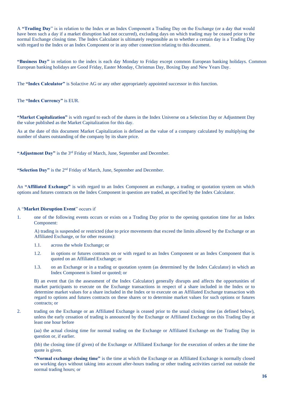A **"Trading Day**" is in relation to the Index or an Index Component a Trading Day on the Exchange (or a day that would have been such a day if a market disruption had not occurred), excluding days on which trading may be ceased prior to the normal Exchange closing time. The Index Calculator is ultimately responsible as to whether a certain day is a Trading Day with regard to the Index or an Index Component or in any other connection relating to this document.

**"Business Day"** in relation to the index is each day Monday to Friday except common European banking holidays. Common European banking holidays are Good Friday, Easter Monday, Christmas Day, Boxing Day and New Years Day.

The **"Index Calculator"** is Solactive AG or any other appropriately appointed successor in this function.

The **"Index Currency"** is EUR.

**"Market Capitalization"** is with regard to each of the shares in the Index Universe on a Selection Day or Adjustment Day the value published as the Market Capitalization for this day.

As at the date of this document Market Capitalization is defined as the value of a company calculated by multiplying the number of shares outstanding of the company by its share price.

**"Adjustment Day"** is the 3rd Friday of March, June, September and December.

"Selection Day" is the 2<sup>nd</sup> Friday of March, June, September and December.

An **"Affiliated Exchange"** is with regard to an Index Component an exchange, a trading or quotation system on which options and futures contracts on the Index Component in question are traded, as specified by the Index Calculator.

#### A "**Market Disruption Event**" occurs if

1. one of the following events occurs or exists on a Trading Day prior to the opening quotation time for an Index Component:

A) trading is suspended or restricted (due to price movements that exceed the limits allowed by the Exchange or an Affiliated Exchange, or for other reasons):

- 1.1. across the whole Exchange; or
- 1.2. in options or futures contracts on or with regard to an Index Component or an Index Component that is quoted on an Affiliated Exchange; or
- 1.3. on an Exchange or in a trading or quotation system (as determined by the Index Calculator) in which an Index Component is listed or quoted; or

B) an event that (in the assessment of the Index Calculator) generally disrupts and affects the opportunities of market participants to execute on the Exchange transactions in respect of a share included in the Index or to determine market values for a share included in the Index or to execute on an Affiliated Exchange transaction with regard to options and futures contracts on these shares or to determine market values for such options or futures contracts; or

2. trading on the Exchange or an Affiliated Exchange is ceased prior to the usual closing time (as defined below), unless the early cessation of trading is announced by the Exchange or Affiliated Exchange on this Trading Day at least one hour before

(aa) the actual closing time for normal trading on the Exchange or Affiliated Exchange on the Trading Day in question or, if earlier.

(bb) the closing time (if given) of the Exchange or Affiliated Exchange for the execution of orders at the time the quote is given.

**"Normal exchange closing time"** is the time at which the Exchange or an Affiliated Exchange is normally closed on working days without taking into account after-hours trading or other trading activities carried out outside the normal trading hours; or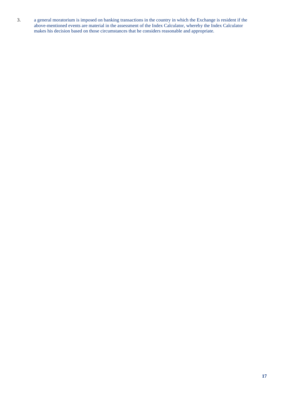3. a general moratorium is imposed on banking transactions in the country in which the Exchange is resident if the above-mentioned events are material in the assessment of the Index Calculator, whereby the Index Calculator makes his decision based on those circumstances that he considers reasonable and appropriate.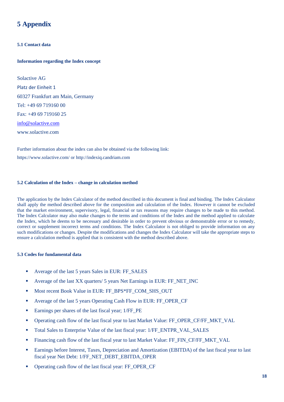## **5 Appendix**

#### **5.1 Contact data**

#### **Information regarding the Index concept**

Solactive AG Platz der Einheit 1 60327 Frankfurt am Main, Germany Tel: +49 69 719160 00 Fax: +49 69 719160 25 [info@solactive.com](mailto:info@solactive.com) www.solactive.com

Further information about the index can also be obtained via the following link: <https://www.solactive.com/> or http://indexiq.candriam.com

#### **5.2 Calculation of the Index – change in calculation method**

The application by the Index Calculator of the method described in this document is final and binding. The Index Calculator shall apply the method described above for the composition and calculation of the Index. However it cannot be excluded that the market environment, supervisory, legal, financial or tax reasons may require changes to be made to this method. The Index Calculator may also make changes to the terms and conditions of the Index and the method applied to calculate the Index, which he deems to be necessary and desirable in order to prevent obvious or demonstrable error or to remedy, correct or supplement incorrect terms and conditions. The Index Calculator is not obliged to provide information on any such modifications or changes. Despite the modifications and changes the Index Calculator will take the appropriate steps to ensure a calculation method is applied that is consistent with the method described above.

#### **5.3 Codes for fundamental data**

- Average of the last 5 years Sales in EUR: FF\_SALES
- Average of the last XX quarters/ 5 years Net Earnings in EUR: FF\_NET\_INC
- Most recent Book Value in EUR: FF\_BPS\*FF\_COM\_SHS\_OUT
- Average of the last 5 years Operating Cash Flow in EUR: FF\_OPER\_CF
- Earnings per shares of the last fiscal year; 1/FF\_PE
- Operating cash flow of the last fiscal year to last Market Value: FF\_OPER\_CF/FF\_MKT\_VAL
- Total Sales to Enterprise Value of the last fiscal year: 1/FF\_ENTPR\_VAL\_SALES
- Financing cash flow of the last fiscal year to last Market Value: FF\_FIN\_CF/FF\_MKT\_VAL
- Earnings before Interest, Taxes, Depreciation and Amortization (EBITDA) of the last fiscal year to last fiscal year Net Debt: 1/FF\_NET\_DEBT\_EBITDA\_OPER
- Operating cash flow of the last fiscal year: FF\_OPER\_CF